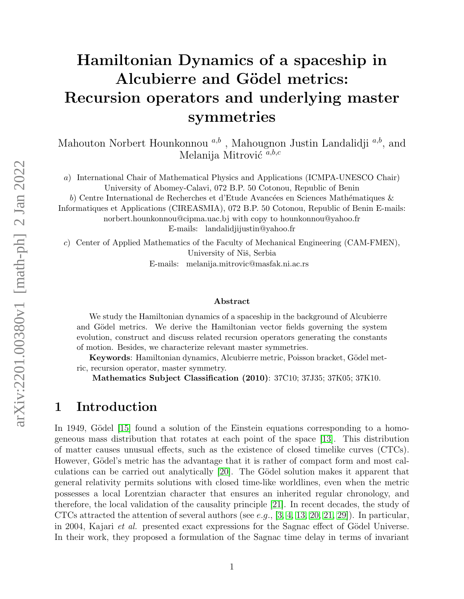# Hamiltonian Dynamics of a spaceship in Alcubierre and Gödel metrics: Recursion operators and underlying master symmetries

Mahouton Norbert Hounkonnou  $a,b$ , Mahougnon Justin Landalidji  $a,b$ , and Melanija Mitrović  $a,b,c$ 

a) International Chair of Mathematical Physics and Applications (ICMPA-UNESCO Chair) University of Abomey-Calavi, 072 B.P. 50 Cotonou, Republic of Benin

b) Centre International de Recherches et d'Etude Avancées en Sciences Mathématiques  $\&$ Informatiques et Applications (CIREASMIA), 072 B.P. 50 Cotonou, Republic of Benin E-mails: norbert.hounkonnou@cipma.uac.bj with copy to hounkonnou@yahoo.fr E-mails: landalidjijustin@yahoo.fr

c) Center of Applied Mathematics of the Faculty of Mechanical Engineering (CAM-FMEN), University of Niš, Serbia E-mails: melanija.mitrovic@masfak.ni.ac.rs

#### Abstract

We study the Hamiltonian dynamics of a spaceship in the background of Alcubierre and Gödel metrics. We derive the Hamiltonian vector fields governing the system evolution, construct and discuss related recursion operators generating the constants of motion. Besides, we characterize relevant master symmetries.

Keywords: Hamiltonian dynamics, Alcubierre metric, Poisson bracket, Gödel metric, recursion operator, master symmetry.

Mathematics Subject Classification (2010): 37C10; 37J35; 37K05; 37K10.

### 1 Introduction

In 1949, Gödel [\[15\]](#page-18-0) found a solution of the Einstein equations corresponding to a homogeneous mass distribution that rotates at each point of the space [\[13\]](#page-18-1). This distribution of matter causes unusual effects, such as the existence of closed timelike curves (CTCs). However, Gödel's metric has the advantage that it is rather of compact form and most calculations can be carried out analytically  $[20]$ . The Gödel solution makes it apparent that general relativity permits solutions with closed time-like worldlines, even when the metric possesses a local Lorentzian character that ensures an inherited regular chronology, and therefore, the local validation of the causality principle [\[21\]](#page-19-1). In recent decades, the study of CTCs attracted the attention of several authors (see e.g.,  $[3, 4, 13, 20, 21, 29]$  $[3, 4, 13, 20, 21, 29]$  $[3, 4, 13, 20, 21, 29]$  $[3, 4, 13, 20, 21, 29]$  $[3, 4, 13, 20, 21, 29]$  $[3, 4, 13, 20, 21, 29]$ ). In particular, in 2004, Kajari *et al.* presented exact expressions for the Sagnac effect of Gödel Universe. In their work, they proposed a formulation of the Sagnac time delay in terms of invariant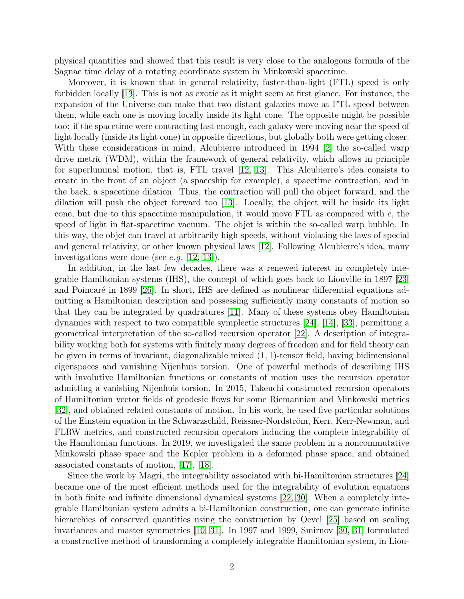physical quantities and showed that this result is very close to the analogous formula of the Sagnac time delay of a rotating coordinate system in Minkowski spacetime.

Moreover, it is known that in general relativity, faster-than-light (FTL) speed is only forbidden locally [\[13\]](#page-18-1). This is not as exotic as it might seem at first glance. For instance, the expansion of the Universe can make that two distant galaxies move at FTL speed between them, while each one is moving locally inside its light cone. The opposite might be possible too: if the spacetime were contracting fast enough, each galaxy were moving near the speed of light locally (inside its light cone) in opposite directions, but globally both were getting closer. With these considerations in mind, Alcubierre introduced in 1994 [\[2\]](#page-17-0) the so-called warp drive metric (WDM), within the framework of general relativity, which allows in principle for superluminal motion, that is, FTL travel [\[12,](#page-18-4) [13\]](#page-18-1). This Alcubierre's idea consists to create in the front of an object (a spaceship for example), a spacetime contraction, and in the back, a spacetime dilation. Thus, the contraction will pull the object forward, and the dilation will push the object forward too [\[13\]](#page-18-1). Locally, the object will be inside its light cone, but due to this spacetime manipulation, it would move  $\text{FTL}$  as compared with c, the speed of light in flat-spacetime vacuum. The objet is within the so-called warp bubble. In this way, the objet can travel at arbitrarily high speeds, without violating the laws of special and general relativity, or other known physical laws [\[12\]](#page-18-4). Following Alcubierre's idea, many investigations were done (see e.g. [\[12,](#page-18-4) [13\]](#page-18-1)).

In addition, in the last few decades, there was a renewed interest in completely integrable Hamiltonian systems (IHS), the concept of which goes back to Liouville in 1897 [\[23\]](#page-19-3) and Poincaré in 1899 [\[26\]](#page-19-4). In short, IHS are defined as nonlinear differential equations admitting a Hamiltonian description and possessing sufficiently many constants of motion so that they can be integrated by quadratures [\[11\]](#page-18-5). Many of these systems obey Hamiltonian dynamics with respect to two compatible symplectic structures [\[24\]](#page-19-5), [\[14\]](#page-18-6), [\[33\]](#page-19-6), permitting a geometrical interpretation of the so-called recursion operator [\[22\]](#page-19-7). A description of integrability working both for systems with finitely many degrees of freedom and for field theory can be given in terms of invariant, diagonalizable mixed  $(1, 1)$ -tensor field, having bidimensional eigenspaces and vanishing Nijenhuis torsion. One of powerful methods of describing IHS with involutive Hamiltonian functions or constants of motion uses the recursion operator admitting a vanishing Nijenhuis torsion. In 2015, Takeuchi constructed recursion operators of Hamiltonian vector fields of geodesic flows for some Riemannian and Minkowski metrics [\[32\]](#page-19-8), and obtained related constants of motion. In his work, he used five particular solutions of the Einstein equation in the Schwarzschild, Reissner-Nordström, Kerr, Kerr-Newman, and FLRW metrics, and constructed recursion operators inducing the complete integrability of the Hamiltonian functions. In 2019, we investigated the same problem in a noncommutative Minkowski phase space and the Kepler problem in a deformed phase space, and obtained associated constants of motion, [\[17\]](#page-18-7), [\[18\]](#page-18-8).

Since the work by Magri, the integrability associated with bi-Hamiltonian structures [\[24\]](#page-19-5) became one of the most efficient methods used for the integrability of evolution equations in both finite and infinite dimensional dynamical systems [\[22,](#page-19-7) [30\]](#page-19-9). When a completely integrable Hamiltonian system admits a bi-Hamiltonian construction, one can generate infinite hierarchies of conserved quantities using the construction by Oevel [\[25\]](#page-19-10) based on scaling invariances and master symmetries [\[10,](#page-18-9) [31\]](#page-19-11). In 1997 and 1999, Smirnov [\[30,](#page-19-9) [31\]](#page-19-11) formulated a constructive method of transforming a completely integrable Hamiltonian system, in Liou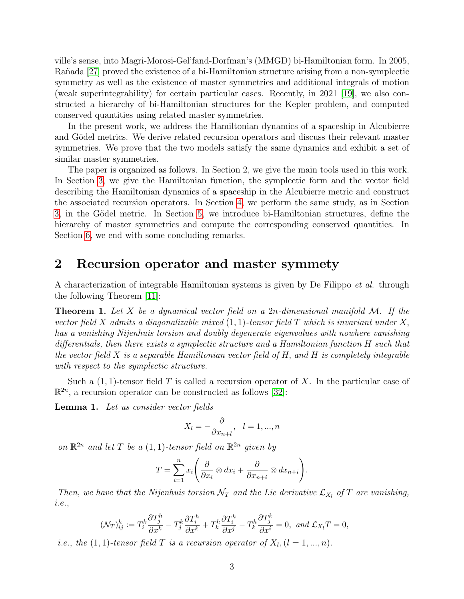ville's sense, into Magri-Morosi-Gel'fand-Dorfman's (MMGD) bi-Hamiltonian form. In 2005, Rañada [\[27\]](#page-19-12) proved the existence of a bi-Hamiltonian structure arising from a non-symplectic symmetry as well as the existence of master symmetries and additional integrals of motion (weak superintegrability) for certain particular cases. Recently, in 2021 [\[19\]](#page-19-13), we also constructed a hierarchy of bi-Hamiltonian structures for the Kepler problem, and computed conserved quantities using related master symmetries.

In the present work, we address the Hamiltonian dynamics of a spaceship in Alcubierre and Gödel metrics. We derive related recursion operators and discuss their relevant master symmetries. We prove that the two models satisfy the same dynamics and exhibit a set of similar master symmetries.

The paper is organized as follows. In Section 2, we give the main tools used in this work. In Section [3,](#page-3-0) we give the Hamiltonian function, the symplectic form and the vector field describing the Hamiltonian dynamics of a spaceship in the Alcubierre metric and construct the associated recursion operators. In Section [4,](#page-9-0) we perform the same study, as in Section [3,](#page-3-0) in the Gödel metric. In Section [5,](#page-14-0) we introduce bi-Hamiltonian structures, define the hierarchy of master symmetries and compute the corresponding conserved quantities. In Section [6,](#page-16-0) we end with some concluding remarks.

## 2 Recursion operator and master symmety

A characterization of integrable Hamiltonian systems is given by De Filippo et al. through the following Theorem [\[11\]](#page-18-5):

<span id="page-2-1"></span>**Theorem 1.** Let X be a dynamical vector field on a 2n-dimensional manifold  $M$ . If the vector field X admits a diagonalizable mixed  $(1,1)$ -tensor field T which is invariant under X, has a vanishing Nijenhuis torsion and doubly degenerate eigenvalues with nowhere vanishing differentials, then there exists a symplectic structure and a Hamiltonian function H such that the vector field X is a separable Hamiltonian vector field of H, and H is completely integrable with respect to the symplectic structure.

Such a  $(1, 1)$ -tensor field T is called a recursion operator of X. In the particular case of  $\mathbb{R}^{2n}$ , a recursion operator can be constructed as follows [\[32\]](#page-19-8):

<span id="page-2-0"></span>Lemma 1. Let us consider vector fields

$$
X_l = -\frac{\partial}{\partial x_{n+l}}, \quad l = 1, ..., n
$$

on  $\mathbb{R}^{2n}$  and let T be a  $(1,1)$ -tensor field on  $\mathbb{R}^{2n}$  given by

$$
T = \sum_{i=1}^{n} x_i \left( \frac{\partial}{\partial x_i} \otimes dx_i + \frac{\partial}{\partial x_{n+i}} \otimes dx_{n+i} \right).
$$

Then, we have that the Nijenhuis torsion  $\mathcal{N}_T$  and the Lie derivative  $\mathcal{L}_{X_l}$  of T are vanishing, i.e.,

$$
(\mathcal{N}_T)^h_{ij} := T^k_i \frac{\partial T^h_j}{\partial x^k} - T^k_j \frac{\partial T^h_i}{\partial x^k} + T^h_k \frac{\partial T^k_i}{\partial x^j} - T^h_k \frac{\partial T^k_j}{\partial x^i} = 0, \text{ and } \mathcal{L}_{X_l} T = 0,
$$

*i.e.*, the  $(1, 1)$ -tensor field T is a recursion operator of  $X_l$ ,  $(l = 1, ..., n)$ .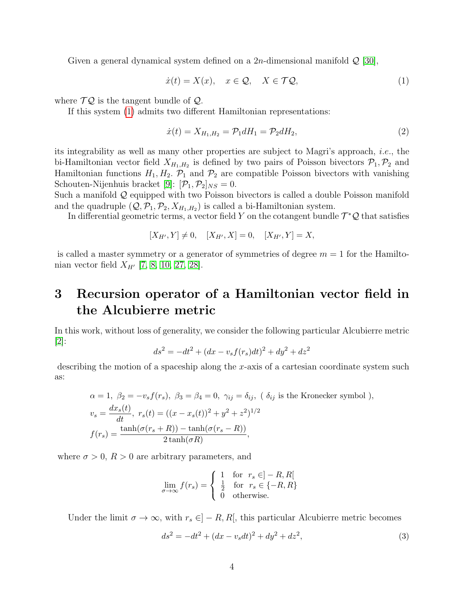Given a general dynamical system defined on a 2*n*-dimensional manifold  $\mathcal{Q}$  [\[30\]](#page-19-9),

<span id="page-3-1"></span>
$$
\dot{x}(t) = X(x), \quad x \in \mathcal{Q}, \quad X \in \mathcal{T}\mathcal{Q}, \tag{1}
$$

where  $\mathcal{TQ}$  is the tangent bundle of  $\mathcal{Q}$ .

If this system [\(1\)](#page-3-1) admits two different Hamiltonian representations:

$$
\dot{x}(t) = X_{H_1, H_2} = \mathcal{P}_1 dH_1 = \mathcal{P}_2 dH_2,\tag{2}
$$

its integrability as well as many other properties are subject to Magri's approach, i.e., the bi-Hamiltonian vector field  $X_{H_1,H_2}$  is defined by two pairs of Poisson bivectors  $\mathcal{P}_1, \mathcal{P}_2$  and Hamiltonian functions  $H_1, H_2, \mathcal{P}_1$  and  $\mathcal{P}_2$  are compatible Poisson bivectors with vanishing Schouten-Nijenhuis bracket [\[9\]](#page-18-10):  $[\mathcal{P}_1, \mathcal{P}_2]_{NS} = 0$ .

Such a manifold Q equipped with two Poisson bivectors is called a double Poisson manifold and the quadruple  $(Q, \mathcal{P}_1, \mathcal{P}_2, X_{H_1, H_2})$  is called a bi-Hamiltonian system.

In differential geometric terms, a vector field Y on the cotangent bundle  $\mathcal{T}^{\ast}\mathcal{Q}$  that satisfies

$$
[X_{H'}, Y] \neq 0, \quad [X_{H'}, X] = 0, \quad [X_{H'}, Y] = X,
$$

is called a master symmetry or a generator of symmetries of degree  $m = 1$  for the Hamiltonian vector field  $X_{H'}$  [\[7,](#page-18-11) [8,](#page-18-12) [10,](#page-18-9) [27,](#page-19-12) [28\]](#page-19-14).

## <span id="page-3-0"></span>3 Recursion operator of a Hamiltonian vector field in the Alcubierre metric

In this work, without loss of generality, we consider the following particular Alcubierre metric  $|2|$ :

$$
ds^{2} = -dt^{2} + (dx - v_{s}f(r_{s})dt)^{2} + dy^{2} + dz^{2}
$$

describing the motion of a spaceship along the x-axis of a cartesian coordinate system such as:

$$
\alpha = 1, \ \beta_2 = -v_s f(r_s), \ \beta_3 = \beta_4 = 0, \ \gamma_{ij} = \delta_{ij}, \ (\delta_{ij} \text{ is the Kronecker symbol}),
$$
  

$$
v_s = \frac{dx_s(t)}{dt}, \ r_s(t) = ((x - x_s(t))^2 + y^2 + z^2)^{1/2}
$$
  

$$
f(r_s) = \frac{\tanh(\sigma(r_s + R)) - \tanh(\sigma(r_s - R))}{2 \tanh(\sigma R)},
$$

where  $\sigma > 0$ ,  $R > 0$  are arbitrary parameters, and

$$
\lim_{\sigma \to \infty} f(r_s) = \begin{cases} 1 & \text{for } r_s \in ]-R, R[\\ \frac{1}{2} & \text{for } r_s \in \{-R, R\} \\ 0 & \text{otherwise.} \end{cases}
$$

Under the limit  $\sigma \to \infty$ , with  $r_s \in ]-R, R[$ , this particular Alcubierre metric becomes

<span id="page-3-2"></span>
$$
ds^{2} = -dt^{2} + (dx - v_{s}dt)^{2} + dy^{2} + dz^{2},
$$
\n(3)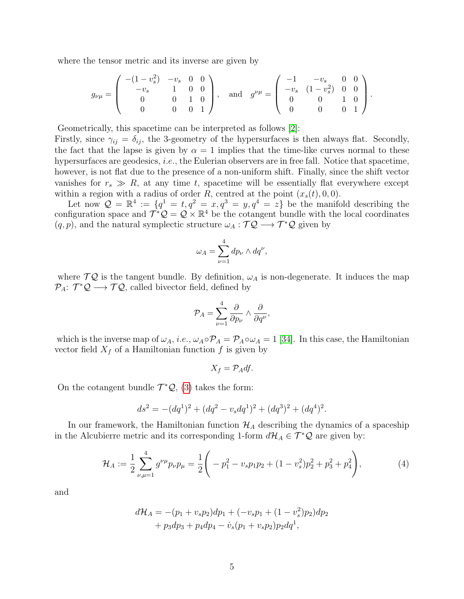where the tensor metric and its inverse are given by

$$
g_{\nu\mu} = \begin{pmatrix} -(1-v_s^2) & -v_s & 0 & 0 \\ -v_s & 1 & 0 & 0 \\ 0 & 0 & 1 & 0 \\ 0 & 0 & 0 & 1 \end{pmatrix}, \text{ and } g^{\nu\mu} = \begin{pmatrix} -1 & -v_s & 0 & 0 \\ -v_s & (1-v_s^2) & 0 & 0 \\ 0 & 0 & 1 & 0 \\ 0 & 0 & 0 & 1 \end{pmatrix}.
$$

Geometrically, this spacetime can be interpreted as follows [\[2\]](#page-17-0):

Firstly, since  $\gamma_{ij} = \delta_{ij}$ , the 3-geometry of the hypersurfaces is then always flat. Secondly, the fact that the lapse is given by  $\alpha = 1$  implies that the time-like curves normal to these hypersurfaces are geodesics, *i.e.*, the Eulerian observers are in free fall. Notice that spacetime, however, is not flat due to the presence of a non-uniform shift. Finally, since the shift vector vanishes for  $r_s \gg R$ , at any time t, spacetime will be essentially flat everywhere except within a region with a radius of order R, centred at the point  $(x_s(t), 0, 0)$ .

Let now  $\mathcal{Q} = \mathbb{R}^4 := \{q^1 = t, q^2 = x, q^3 = y, q^4 = z\}$  be the manifold describing the configuration space and  $\mathcal{T}^*\mathcal{Q} = \mathcal{Q} \times \mathbb{R}^4$  be the cotangent bundle with the local coordinates  $(q, p)$ , and the natural symplectic structure  $\omega_A : \mathcal{TQ} \longrightarrow \mathcal{T}^*Q$  given by

$$
\omega_A = \sum_{\nu=1}^4 dp_\nu \wedge dq^\nu,
$$

where  $\mathcal{TQ}$  is the tangent bundle. By definition,  $\omega_A$  is non-degenerate. It induces the map  $\mathcal{P}_A$ :  $\mathcal{T}^*\mathcal{Q} \longrightarrow \mathcal{T}\mathcal{Q}$ , called bivector field, defined by

$$
\mathcal{P}_A = \sum_{\nu=1}^4 \frac{\partial}{\partial p_\nu} \wedge \frac{\partial}{\partial q^\nu},
$$

which is the inverse map of  $\omega_A$ , *i.e.*,  $\omega_A \circ \mathcal{P}_A = \mathcal{P}_A \circ \omega_A = 1$  [\[34\]](#page-19-15). In this case, the Hamiltonian vector field  $X_f$  of a Hamiltonian function f is given by

$$
X_f = \mathcal{P}_A df.
$$

On the cotangent bundle  $\mathcal{T}^{\ast}\mathcal{Q}$ , [\(3\)](#page-3-2) takes the form:

$$
ds^{2} = -(dq^{1})^{2} + (dq^{2} - v_{s}dq^{1})^{2} + (dq^{3})^{2} + (dq^{4})^{2}.
$$

In our framework, the Hamiltonian function  $\mathcal{H}_A$  describing the dynamics of a spaceship in the Alcubierre metric and its corresponding 1-form  $d\mathcal{H}_A \in \mathcal{T}^*\mathcal{Q}$  are given by:

<span id="page-4-0"></span>
$$
\mathcal{H}_A := \frac{1}{2} \sum_{\nu,\mu=1}^4 g^{\nu\mu} p_\nu p_\mu = \frac{1}{2} \left( -p_1^2 - v_s p_1 p_2 + (1 - v_s^2) p_2^2 + p_3^2 + p_4^2 \right),\tag{4}
$$

and

$$
d\mathcal{H}_A = -(p_1 + v_s p_2)dp_1 + (-v_s p_1 + (1 - v_s^2)p_2)dp_2
$$
  
+  $p_3dp_3 + p_4dp_4 - \dot{v}_s(p_1 + v_s p_2)p_2dq^1$ ,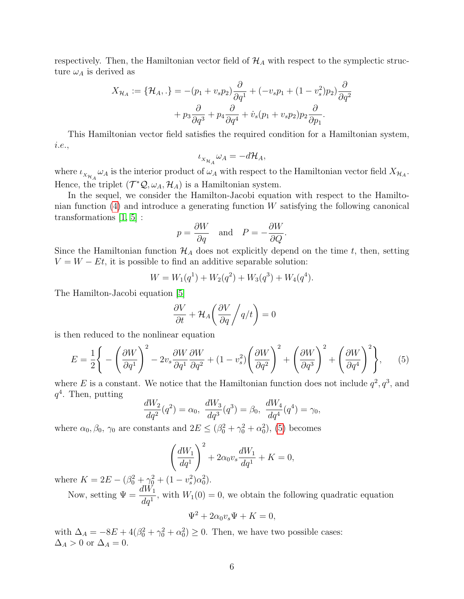respectively. Then, the Hamiltonian vector field of  $\mathcal{H}_A$  with respect to the symplectic structure  $\omega_A$  is derived as

$$
X_{\mathcal{H}_A} := \{ \mathcal{H}_A, \cdot \} = -(p_1 + v_s p_2) \frac{\partial}{\partial q^1} + (-v_s p_1 + (1 - v_s^2) p_2) \frac{\partial}{\partial q^2} + p_3 \frac{\partial}{\partial q^3} + p_4 \frac{\partial}{\partial q^4} + \dot{v}_s (p_1 + v_s p_2) p_2 \frac{\partial}{\partial p_1}.
$$

This Hamiltonian vector field satisfies the required condition for a Hamiltonian system, i.e.,

$$
\iota_{X_{\mathcal{H}_A}} \omega_A = -d\mathcal{H}_A,
$$

where  $\iota_{X_{\mathcal{H}_A}}\omega_A$  is the interior product of  $\omega_A$  with respect to the Hamiltonian vector field  $X_{\mathcal{H}_A}$ . Hence, the triplet  $(\mathcal{T}^*\mathcal{Q}, \omega_A, \mathcal{H}_A)$  is a Hamiltonian system.

In the sequel, we consider the Hamilton-Jacobi equation with respect to the Hamiltonian function  $(4)$  and introduce a generating function W satisfying the following canonical transformations [\[1,](#page-17-1) [5\]](#page-18-13) :

$$
p = \frac{\partial W}{\partial q}
$$
 and  $P = -\frac{\partial W}{\partial Q}$ .

Since the Hamiltonian function  $\mathcal{H}_A$  does not explicitly depend on the time t, then, setting  $V = W - Et$ , it is possible to find an additive separable solution:

$$
W = W_1(q^1) + W_2(q^2) + W_3(q^3) + W_4(q^4).
$$

The Hamilton-Jacobi equation [\[5\]](#page-18-13)

$$
\frac{\partial V}{\partial t} + \mathcal{H}_A \bigg( \frac{\partial V}{\partial q} / q/t \bigg) = 0
$$

is then reduced to the nonlinear equation

<span id="page-5-0"></span>
$$
E = \frac{1}{2} \Bigg\{ -\left(\frac{\partial W}{\partial q^1}\right)^2 - 2v_s \frac{\partial W}{\partial q^1} \frac{\partial W}{\partial q^2} + (1 - v_s^2) \left(\frac{\partial W}{\partial q^2}\right)^2 + \left(\frac{\partial W}{\partial q^3}\right)^2 + \left(\frac{\partial W}{\partial q^4}\right)^2 \Bigg\},\qquad(5)
$$

where E is a constant. We notice that the Hamiltonian function does not include  $q^2, q^3$ , and  $q^4$ . Then, putting

$$
\frac{dW_2}{dq^2}(q^2) = \alpha_0, \ \frac{dW_3}{dq^3}(q^3) = \beta_0, \ \frac{dW_4}{dq^4}(q^4) = \gamma_0,
$$

where  $\alpha_0, \beta_0, \gamma_0$  are constants and  $2E \leq (\beta_0^2 + \gamma_0^2 + \alpha_0^2)$ , [\(5\)](#page-5-0) becomes

$$
\left(\frac{dW_1}{dq^1}\right)^2 + 2\alpha_0 v_s \frac{dW_1}{dq^1} + K = 0,
$$

where  $K = 2E - (\beta_0^2 + \gamma_0^2 + (1 - v_s^2)\alpha_0^2)$ .

Now, setting  $\Psi = \frac{dW_1}{dt}$  $\frac{d^{2}U}{dq^{1}}$ , with  $W_{1}(0) = 0$ , we obtain the following quadratic equation

$$
\Psi^2 + 2\alpha_0 v_s \Psi + K = 0,
$$

with  $\Delta_A = -8E + 4(\beta_0^2 + \gamma_0^2 + \alpha_0^2) \ge 0$ . Then, we have two possible cases:  $\Delta_A > 0$  or  $\Delta_A = 0$ .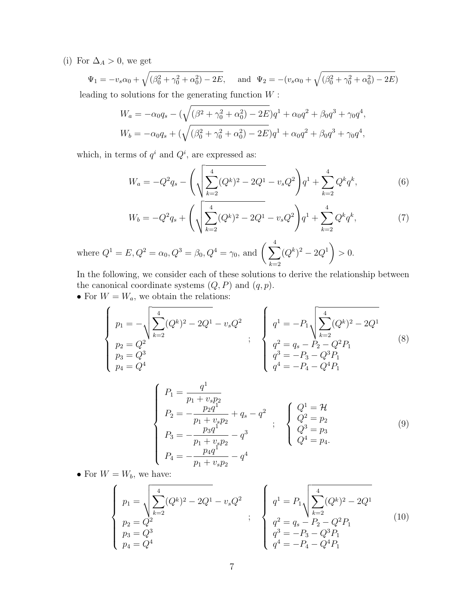(i) For  $\Delta_A > 0$ , we get

 $\Psi_1 = -v_s \alpha_0 + \sqrt{(\beta_0^2 + \gamma_0^2 + \alpha_0^2) - 2E}, \quad \text{and} \quad \Psi_2 = -(v_s \alpha_0 + \sqrt{(\beta_0^2 + \gamma_0^2 + \alpha_0^2) - 2E})$ leading to solutions for the generating function  $W$ :

$$
W_a = -\alpha_0 q_s - \left(\sqrt{(\beta^2 + \gamma_0^2 + \alpha_0^2) - 2E}\right)q^1 + \alpha_0 q^2 + \beta_0 q^3 + \gamma_0 q^4,
$$
  

$$
W_b = -\alpha_0 q_s + \left(\sqrt{(\beta_0^2 + \gamma_0^2 + \alpha_0^2) - 2E}\right)q^1 + \alpha_0 q^2 + \beta_0 q^3 + \gamma_0 q^4,
$$

which, in terms of  $q^i$  and  $Q^i$ , are expressed as:

$$
W_a = -Q^2 q_s - \left(\sqrt{\sum_{k=2}^4 (Q^k)^2 - 2Q^1} - v_s Q^2\right) q^1 + \sum_{k=2}^4 Q^k q^k,
$$
 (6)

$$
W_b = -Q^2 q_s + \left(\sqrt{\sum_{k=2}^4 (Q^k)^2 - 2Q^1} - v_s Q^2\right) q^1 + \sum_{k=2}^4 Q^k q^k,\tag{7}
$$

where  $Q^{1} = E, Q^{2} = \alpha_{0}, Q^{3} = \beta_{0}, Q^{4} = \gamma_{0}, \text{ and } \left(\sum_{i=1}^{4} \alpha_{i} \right)$  $k=2$  $(Q^k)^2 - 2Q^1$  $> 0.$ 

In the following, we consider each of these solutions to derive the relationship between the canonical coordinate systems  $(Q, P)$  and  $(q, p)$ .

• For  $W = W_a$ , we obtain the relations:

<span id="page-6-0"></span>
$$
\begin{cases}\n p_1 = -\sqrt{\sum_{k=2}^4 (Q^k)^2 - 2Q^1 - v_s Q^2} \\
 p_2 = Q^2 \\
 p_3 = Q^3 \\
 p_4 = Q^4\n\end{cases}\n;\n\begin{cases}\n q^1 = -P_1 \sqrt{\sum_{k=2}^4 (Q^k)^2 - 2Q^1} \\
 q^2 = q_s - P_2 - Q^2 P_1 \\
 q^3 = -P_3 - Q^3 P_1 \\
 q^4 = -P_4 - Q^4 P_1\n\end{cases}\n\tag{8}
$$

<span id="page-6-1"></span>
$$
\begin{cases}\nP_1 = \frac{q^1}{p_1 + v_s p_2} \\
P_2 = -\frac{p_2 q^1}{p_1 + v_s p_2} + q_s - q^2 \\
P_3 = -\frac{p_3 q^1}{p_1 + v_s p_2} - q^3 \\
P_4 = -\frac{p_4 q^1}{p_1 + v_s p_2} - q^4\n\end{cases};\n\begin{cases}\nQ^1 = \mathcal{H} \\
Q^2 = p_2 \\
Q^3 = p_3 \\
Q^4 = p_4.\n\end{cases}
$$
\n(9)

• For  $W = W_b$ , we have:

<span id="page-6-2"></span>
$$
\begin{cases}\np_1 = \sqrt{\sum_{k=2}^4 (Q^k)^2 - 2Q^1} - v_s Q^2 \\
p_2 = Q^2 \\
p_3 = Q^3 \\
p_4 = Q^4\n\end{cases};\n\begin{cases}\nq^1 = P_1 \sqrt{\sum_{k=2}^4 (Q^k)^2 - 2Q^1} \\
q^2 = q_s - P_2 - Q^2 P_1 \\
q^3 = -P_3 - Q^3 P_1 \\
q^4 = -P_4 - Q^4 P_1\n\end{cases}
$$
\n(10)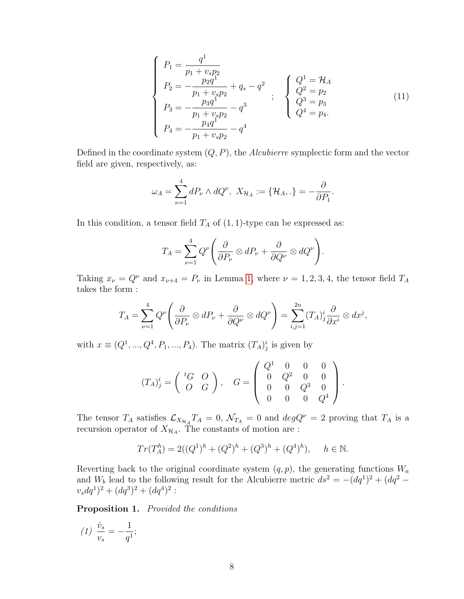<span id="page-7-0"></span>
$$
\begin{cases}\nP_1 = \frac{q^1}{p_1 + v_s p_2} \\
P_2 = -\frac{p_2 q^1}{p_1 + v_s p_2} + q_s - q^2 \\
P_3 = -\frac{p_3 q^1}{p_1 + v_s p_2} - q^3 \\
P_4 = -\frac{p_4 q^1}{p_1 + v_s p_2} - q^4\n\end{cases};\n\begin{cases}\nQ^1 = \mathcal{H}_A \\
Q^2 = p_2 \\
Q^3 = p_3 \\
Q^4 = p_4.\n\end{cases}
$$
\n(11)

Defined in the coordinate system  $(Q, P)$ , the Alcubierre symplectic form and the vector field are given, respectively, as:

$$
\omega_A = \sum_{\nu=1}^4 dP_{\nu} \wedge dQ^{\nu}, \ X_{\mathcal{H}_A} := \{ \mathcal{H}_A, . \} = -\frac{\partial}{\partial P_1}.
$$

In this condition, a tensor field  $T_A$  of  $(1, 1)$ -type can be expressed as:

$$
T_A = \sum_{\nu=1}^4 Q^{\nu} \left( \frac{\partial}{\partial P_{\nu}} \otimes dP_{\nu} + \frac{\partial}{\partial Q^{\nu}} \otimes dQ^{\nu} \right).
$$

Taking  $x_{\nu} = Q^{\nu}$  and  $x_{\nu+4} = P_{\nu}$  in Lemma [1,](#page-2-0) where  $\nu = 1, 2, 3, 4$ , the tensor field  $T_A$ takes the form :

$$
T_A = \sum_{\nu=1}^4 Q^{\nu} \left( \frac{\partial}{\partial P_{\nu}} \otimes dP_{\nu} + \frac{\partial}{\partial Q^{\nu}} \otimes dQ^{\nu} \right) = \sum_{i,j=1}^{2n} (T_A)^i_j \frac{\partial}{\partial x^i} \otimes dx^j,
$$

with  $x \equiv (Q^1, ..., Q^4, P_1, ..., P_4)$ . The matrix  $(T_A)^i_j$  is given by

$$
(T_A)^i_j = \left(\begin{array}{ccc} {}^t G & O \\ O & G \end{array}\right), \quad G = \left(\begin{array}{cccc} Q^1 & 0 & 0 & 0 \\ 0 & Q^2 & 0 & 0 \\ 0 & 0 & Q^3 & 0 \\ 0 & 0 & 0 & Q^4 \end{array}\right).
$$

The tensor  $T_A$  satisfies  $\mathcal{L}_{X_{\mathcal{H}_{A}}}T_A=0$ ,  $\mathcal{N}_{T_A}=0$  and  $degQ^{\nu}=2$  proving that  $T_A$  is a recursion operator of  $X_{\mathcal{H}_A}$ . The constants of motion are :

$$
Tr(T_A^h) = 2((Q^1)^h + (Q^2)^h + (Q^3)^h + (Q^4)^h), \quad h \in \mathbb{N}.
$$

Reverting back to the original coordinate system  $(q, p)$ , the generating functions  $W_a$ and  $W_b$  lead to the following result for the Alcubierre metric  $ds^2 = -(dq^1)^2 + (dq^2$  $v_s dq^1)^2 + (dq^3)^2 + (dq^4)^2$ :

Proposition 1. Provided the conditions

(1) 
$$
\frac{\dot{v}_s}{v_s} = -\frac{1}{q^1};
$$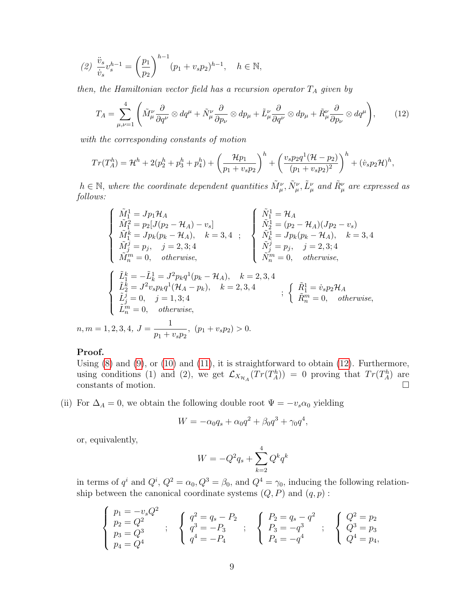$$
(2)\ \frac{\ddot{v}_s}{\dot{v}_s}v_s^{h-1} = \left(\frac{p_1}{p_2}\right)^{h-1}(p_1+v_sp_2)^{h-1}, \quad h \in \mathbb{N},
$$

then, the Hamiltonian vector field has a recursion operator  $T_A$  given by

<span id="page-8-0"></span>
$$
T_A = \sum_{\mu,\nu=1}^4 \left( \tilde{M}^{\nu}_{\mu} \frac{\partial}{\partial q^{\nu}} \otimes dq^{\mu} + \tilde{N}^{\nu}_{\mu} \frac{\partial}{\partial p_{\nu}} \otimes dp_{\mu} + \tilde{L}^{\nu}_{\mu} \frac{\partial}{\partial q^{\nu}} \otimes dp_{\mu} + \tilde{R}^{\nu}_{\mu} \frac{\partial}{\partial p_{\nu}} \otimes dq^{\mu} \right), \tag{12}
$$

with the corresponding constants of motion

$$
Tr(T_A^h) = \mathcal{H}^h + 2(p_2^h + p_3^h + p_4^h) + \left(\frac{\mathcal{H}p_1}{p_1 + v_s p_2}\right)^h + \left(\frac{v_s p_2 q^1 (\mathcal{H} - p_2)}{(p_1 + v_s p_2)^2}\right)^h + (v_s p_2 \mathcal{H})^h,
$$

 $h \in \mathbb{N}$ , where the coordinate dependent quantities  $\tilde{M}_{\mu}^{\nu}, \tilde{N}_{\mu}^{\nu}, \tilde{L}_{\mu}^{\nu}$  and  $\tilde{R}_{\mu}^{\nu}$  are expressed as follows:

$$
\begin{cases}\n\tilde{M}_{1}^{1} = Jp_{1}\mathcal{H}_{A} \\
\tilde{M}_{1}^{2} = p_{2}[J(p_{2} - \mathcal{H}_{A}) - v_{s}] \\
\tilde{M}_{1}^{k} = Jp_{k}(p_{k} - \mathcal{H}_{A}), \quad k = 3, 4 \quad ; \\
\tilde{M}_{j}^{j} = p_{j}, \quad j = 2, 3; 4 \\
\tilde{M}_{m}^{m} = 0, \quad otherwise, \\
\begin{cases}\n\tilde{L}_{1}^{k} = -\tilde{L}_{k}^{1} = J^{2}p_{k}q^{1}(p_{k} - \mathcal{H}_{A}), \quad k = 2, 3, 4 \\
\tilde{N}_{m}^{j} = p_{j}, \quad j = 2, 3; 4\n\end{cases}\n\end{cases}
$$
\n
$$
\begin{cases}\n\tilde{L}_{1}^{k} = -\tilde{L}_{k}^{1} = J^{2}p_{k}q^{1}(p_{k} - \mathcal{H}_{A}), \quad k = 2, 3, 4 \\
\tilde{N}_{m}^{m} = 0, \quad otherwise, \\
\tilde{L}_{2}^{j} = 0, \quad j = 1, 3; 4\n\end{cases}
$$
\n
$$
\begin{cases}\n\tilde{L}_{1}^{k} = -\tilde{L}_{k}^{1} = J^{2}p_{k}q^{1}(p_{k} - \mathcal{H}_{A}), \quad k = 2, 3, 4 \\
\tilde{L}_{j}^{j} = 0, \quad j = 1, 3; 4\n\end{cases}
$$
\n
$$
\begin{cases}\n\tilde{R}_{1}^{1} = \dot{v}_{s}p_{2}\mathcal{H}_{A} \\
\tilde{R}_{m}^{m} = 0, \quad otherwise, \\
\tilde{R}_{n}^{m} = 0, \quad otherwise, \\
n, m = 1, 2, 3, 4, \quad J = \frac{1}{p_{1} + v_{s}p_{2}}, \quad (p_{1} + v_{s}p_{2}) > 0.\n\end{cases}
$$

#### Proof.

Using  $(8)$  and  $(9)$ , or  $(10)$  and  $(11)$ , it is straightforward to obtain  $(12)$ . Furthermore, using conditions (1) and (2), we get  $\mathcal{L}_{X_{\mathcal{H}_A}}(Tr(T_A^h)) = 0$  proving that  $Tr(T_A^h)$  are constants of motion.  $\Box$ 

(ii) For  $\Delta_A = 0$ , we obtain the following double root  $\Psi = -v_s \alpha_0$  yielding

$$
W = -\alpha_0 q_s + \alpha_0 q^2 + \beta_0 q^3 + \gamma_0 q^4,
$$

or, equivalently,

$$
W = -Q^2 q_s + \sum_{k=2}^{4} Q^k q^k
$$

in terms of  $q^i$  and  $Q^i$ ,  $Q^2 = \alpha_0$ ,  $Q^3 = \beta_0$ , and  $Q^4 = \gamma_0$ , inducing the following relationship between the canonical coordinate systems  $(Q, P)$  and  $(q, p)$ :

$$
\left\{\n\begin{array}{l}\np_1 = -v_s Q^2 \\
p_2 = Q^2 \\
p_3 = Q^3 \\
p_4 = Q^4\n\end{array}\n\right.\n;\n\quad\n\left\{\n\begin{array}{l}\nq^2 = q_s - P_2 \\
q^3 = -P_3 \\
q^4 = -P_4\n\end{array}\n\right.\n;\n\quad\n\left\{\n\begin{array}{l}\nP_2 = q_s - q^2 \\
P_3 = -q^3 \\
P_4 = -q^4\n\end{array}\n\right.\n;\n\quad\n\left\{\n\begin{array}{l}\nQ^2 = p_2 \\
Q^3 = p_3 \\
Q^4 = p_4\n\end{array}\n\right.
$$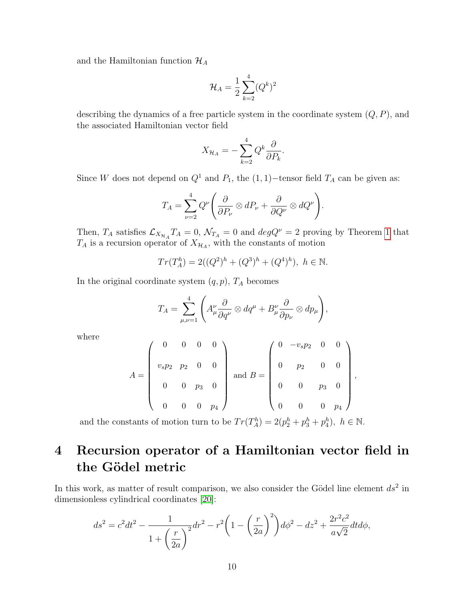and the Hamiltonian function  $\mathcal{H}_A$ 

$$
\mathcal{H}_A = \frac{1}{2} \sum_{k=2}^4 (Q^k)^2
$$

describing the dynamics of a free particle system in the coordinate system  $(Q, P)$ , and the associated Hamiltonian vector field

$$
X_{\mathcal{H}_A} = -\sum_{k=2}^4 Q^k \frac{\partial}{\partial P_k}.
$$

Since W does not depend on  $Q^1$  and  $P_1$ , the  $(1, 1)$ −tensor field  $T_A$  can be given as:

$$
T_A = \sum_{\nu=2}^4 Q^{\nu} \left( \frac{\partial}{\partial P_{\nu}} \otimes dP_{\nu} + \frac{\partial}{\partial Q^{\nu}} \otimes dQ^{\nu} \right).
$$

Then,  $T_A$  satisfies  $\mathcal{L}_{X_{\mathcal{H}_A}} T_A = 0$ ,  $\mathcal{N}_{T_A} = 0$  and  $deg Q^{\nu} = 2$  proving by Theorem [1](#page-2-1) that  $T_A$  is a recursion operator of  $X_{\mathcal{H}_A}$ , with the constants of motion

$$
Tr(T_A^h) = 2((Q^2)^h + (Q^3)^h + (Q^4)^h), \ h \in \mathbb{N}.
$$

In the original coordinate system  $(q, p)$ ,  $T_A$  becomes

$$
T_A = \sum_{\mu,\nu=1}^4 \left( A^{\nu}_{\mu} \frac{\partial}{\partial q^{\nu}} \otimes dq^{\mu} + B^{\nu}_{\mu} \frac{\partial}{\partial p_{\nu}} \otimes dp_{\mu} \right),
$$

where

$$
A = \begin{pmatrix} 0 & 0 & 0 & 0 \\ v_s p_2 & p_2 & 0 & 0 \\ 0 & 0 & p_3 & 0 \\ 0 & 0 & 0 & p_4 \end{pmatrix} \text{ and } B = \begin{pmatrix} 0 & -v_s p_2 & 0 & 0 \\ 0 & p_2 & 0 & 0 \\ 0 & 0 & p_3 & 0 \\ 0 & 0 & 0 & p_4 \end{pmatrix}
$$

,

and the constants of motion turn to be  $Tr(T_A^h) = 2(p_2^h + p_3^h + p_4^h)$ ,  $h \in \mathbb{N}$ .

## <span id="page-9-0"></span>4 Recursion operator of a Hamiltonian vector field in the Gödel metric

In this work, as matter of result comparison, we also consider the Gödel line element  $ds^2$  in dimensionless cylindrical coordinates [\[20\]](#page-19-0):

$$
ds^{2} = c^{2}dt^{2} - \frac{1}{1 + \left(\frac{r}{2a}\right)^{2}}dr^{2} - r^{2}\left(1 - \left(\frac{r}{2a}\right)^{2}\right)d\phi^{2} - dz^{2} + \frac{2r^{2}c^{2}}{a\sqrt{2}}dtd\phi,
$$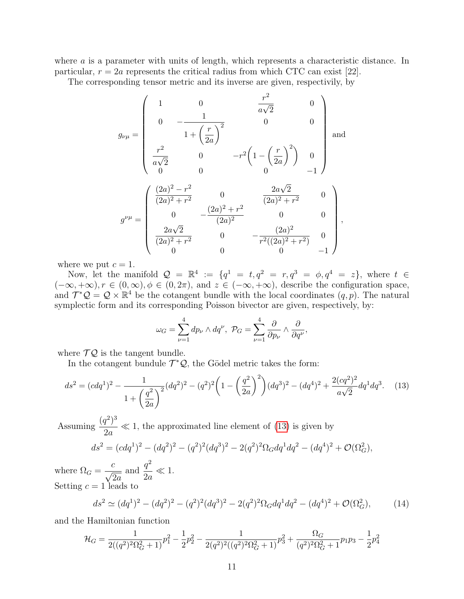where a is a parameter with units of length, which represents a characteristic distance. In particular,  $r = 2a$  represents the critical radius from which CTC can exist [22].

The corresponding tensor metric and its inverse are given, respectivily, by

$$
g_{\nu\mu} = \begin{pmatrix} 1 & 0 & \frac{r^2}{a\sqrt{2}} & 0 \\ 0 & -\frac{1}{1 + \left(\frac{r}{2a}\right)^2} & 0 & 0 \\ \frac{r^2}{a\sqrt{2}} & 0 & -r^2\left(1 - \left(\frac{r}{2a}\right)^2\right) & 0 \\ 0 & 0 & 0 & -1 \end{pmatrix}
$$
 and 
$$
g^{\nu\mu} = \begin{pmatrix} \frac{(2a)^2 - r^2}{(2a)^2 + r^2} & 0 & \frac{2a\sqrt{2}}{(2a)^2 + r^2} & 0 \\ 0 & -\frac{(2a)^2 + r^2}{(2a)^2} & 0 & 0 \\ \frac{2a\sqrt{2}}{(2a)^2 + r^2} & 0 & -\frac{(2a)^2}{r^2((2a)^2 + r^2)} & 0 \\ 0 & 0 & 0 & -1 \end{pmatrix},
$$

where we put  $c = 1$ .

Now, let the manifold  $Q = \mathbb{R}^4 := \{q^1 = t, q^2 = r, q^3 = \phi, q^4 = z\}$ , where  $t \in \mathbb{R}^4$  $(-\infty, +\infty), r \in (0, \infty), \phi \in (0, 2\pi),$  and  $z \in (-\infty, +\infty)$ , describe the configuration space, and  $\mathcal{T}^*\mathcal{Q} = \mathcal{Q} \times \mathbb{R}^4$  be the cotangent bundle with the local coordinates  $(q, p)$ . The natural symplectic form and its corresponding Poisson bivector are given, respectively, by:

$$
\omega_G = \sum_{\nu=1}^4 dp_{\nu} \wedge dq^{\nu}, \ \mathcal{P}_G = \sum_{\nu=1}^4 \frac{\partial}{\partial p_{\nu}} \wedge \frac{\partial}{\partial q^{\nu}},
$$

where  $\mathcal{TQ}$  is the tangent bundle.

In the cotangent bundule  $\mathcal{T}^{\ast}\mathcal{Q}$ , the Gödel metric takes the form:

<span id="page-10-0"></span>
$$
ds^{2} = (cdq^{1})^{2} - \frac{1}{1 + \left(\frac{q^{2}}{2a}\right)^{2}}(dq^{2})^{2} - (q^{2})^{2}\left(1 - \left(\frac{q^{2}}{2a}\right)^{2}\right)(dq^{3})^{2} - (dq^{4})^{2} + \frac{2(cq^{2})^{2}}{a\sqrt{2}}dq^{1}dq^{3}.
$$
 (13)

Assuming  $\frac{(q^2)^3}{8}$  $\frac{d^2y}{2a} \ll 1$ , the approximated line element of [\(13\)](#page-10-0) is given by

$$
ds^{2} = (cdq^{1})^{2} - (dq^{2})^{2} - (q^{2})^{2}(dq^{3})^{2} - 2(q^{2})^{2}\Omega_{G}dq^{1}dq^{2} - (dq^{4})^{2} + \mathcal{O}(\Omega_{G}^{2}),
$$

where  $\Omega_G =$ c  $\sqrt{2a}$ and  $\frac{q^2}{2}$  $rac{q}{2a} \ll 1.$ Setting  $c = 1$  leads to

<span id="page-10-1"></span>
$$
ds^{2} \simeq (dq^{1})^{2} - (dq^{2})^{2} - (q^{2})^{2}(dq^{3})^{2} - 2(q^{2})^{2}\Omega_{G}dq^{1}dq^{2} - (dq^{4})^{2} + \mathcal{O}(\Omega_{G}^{2}),
$$
 (14)

and the Hamiltonian function

$$
\mathcal{H}_G = \frac{1}{2((q^2)^2\Omega_G^2 + 1)}p_1^2 - \frac{1}{2}p_2^2 - \frac{1}{2(q^2)^2((q^2)^2\Omega_G^2 + 1)}p_3^2 + \frac{\Omega_G}{(q^2)^2\Omega_G^2 + 1}p_1p_3 - \frac{1}{2}p_4^2
$$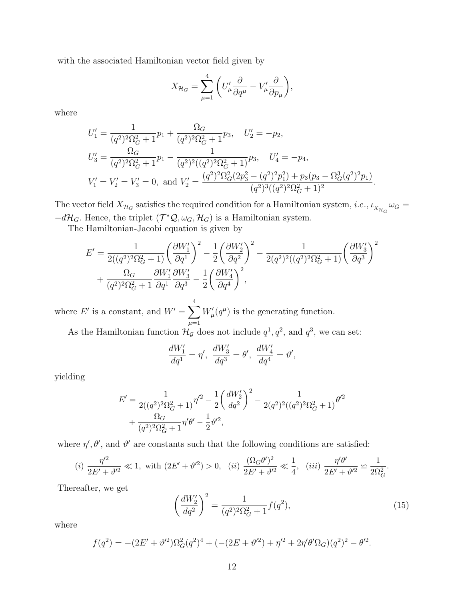with the associated Hamiltonian vector field given by

$$
X_{\mathcal{H}_G} = \sum_{\mu=1}^4 \left( U'_{\mu} \frac{\partial}{\partial q^{\mu}} - V'_{\mu} \frac{\partial}{\partial p_{\mu}} \right),
$$

where

$$
U'_{1} = \frac{1}{(q^{2})^{2} \Omega_{G}^{2} + 1} p_{1} + \frac{\Omega_{G}}{(q^{2})^{2} \Omega_{G}^{2} + 1} p_{3}, \quad U'_{2} = -p_{2},
$$
  
\n
$$
U'_{3} = \frac{\Omega_{G}}{(q^{2})^{2} \Omega_{G}^{2} + 1} p_{1} - \frac{1}{(q^{2})^{2} ((q^{2})^{2} \Omega_{G}^{2} + 1)} p_{3}, \quad U'_{4} = -p_{4},
$$
  
\n
$$
V'_{1} = V'_{2} = V'_{3} = 0, \text{ and } V'_{2} = \frac{(q^{2})^{2} \Omega_{G}^{2} (2p_{3}^{2} - (q^{2})^{2} p_{1}^{2}) + p_{3} (p_{3} - \Omega_{G}^{3} (q^{2})^{2} p_{1})}{(q^{2})^{3} ((q^{2})^{2} \Omega_{G}^{2} + 1)^{2}}.
$$

The vector field  $X_{\mathcal{H}_G}$  satisfies the required condition for a Hamiltonian system, *i.e.*,  $\iota_{X_{\mathcal{H}_G}}\omega_G =$  $-d\mathcal{H}_G$ . Hence, the triplet  $(\mathcal{T}^*\mathcal{Q}, \omega_G, \mathcal{H}_G)$  is a Hamiltonian system.

The Hamiltonian-Jacobi equation is given by

$$
E' = \frac{1}{2((q^2)^2 \Omega_G^2 + 1)} \left(\frac{\partial W_1'}{\partial q^1}\right)^2 - \frac{1}{2} \left(\frac{\partial W_2'}{\partial q^2}\right)^2 - \frac{1}{2(q^2)^2 ((q^2)^2 \Omega_G^2 + 1)} \left(\frac{\partial W_3'}{\partial q^3}\right)^2 + \frac{\Omega_G}{(q^2)^2 \Omega_G^2 + 1} \frac{\partial W_1'}{\partial q^1} \frac{\partial W_3'}{\partial q^3} - \frac{1}{2} \left(\frac{\partial W_4'}{\partial q^4}\right)^2,
$$

where E' is a constant, and  $W' = \sum$ 4  $\mu=1$  $W'_{\mu}(q^{\mu})$  is the generating function.

As the Hamiltonian function  $\mathcal{H}_{\mathcal{G}}$  does not include  $q^1, q^2$ , and  $q^3$ , we can set:

$$
\frac{dW_1'}{dq^1} = \eta', \ \frac{dW_3'}{dq^3} = \theta', \ \frac{dW_4'}{dq^4} = \vartheta',
$$

yielding

$$
E' = \frac{1}{2((q^2)^2 \Omega_G^2 + 1)} \eta'^2 - \frac{1}{2} \left(\frac{dW'_2}{dq^2}\right)^2 - \frac{1}{2(q^2)^2 ((q^2)^2 \Omega_G^2 + 1)} \theta'^2
$$
  
+ 
$$
\frac{\Omega_G}{(q^2)^2 \Omega_G^2 + 1} \eta' \theta' - \frac{1}{2} \vartheta'^2,
$$

where  $\eta', \theta'$ , and  $\theta'$  are constants such that the following conditions are satisfied:

(i) 
$$
\frac{\eta'^2}{2E' + \vartheta'^2} \ll 1
$$
, with  $(2E' + \vartheta'^2) > 0$ , (ii)  $\frac{(\Omega_G \theta')^2}{2E' + \vartheta'^2} \ll \frac{1}{4}$ , (iii)  $\frac{\eta' \theta'}{2E' + \vartheta'^2} \simeq \frac{1}{2\Omega_G^2}$ .

Thereafter, we get

<span id="page-11-0"></span>
$$
\left(\frac{dW_2'}{dq^2}\right)^2 = \frac{1}{(q^2)^2 \Omega_G^2 + 1} f(q^2),\tag{15}
$$

where

$$
f(q^2) = -(2E' + \vartheta'^2)\Omega_G^2(q^2)^4 + (-(2E + \vartheta'^2) + \eta'^2 + 2\eta'\theta'\Omega_G)(q^2)^2 - \theta'^2.
$$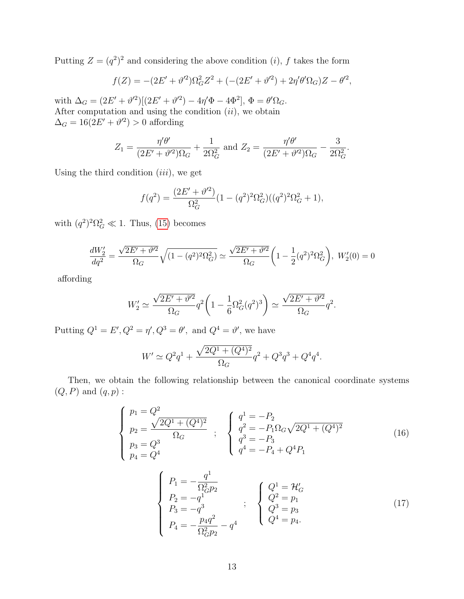Putting  $Z = (q^2)^2$  and considering the above condition (*i*), f takes the form

$$
f(Z) = -(2E' + \vartheta'^2)\Omega_G^2 Z^2 + (-(2E' + \vartheta'^2) + 2\eta'\theta'\Omega_G)Z - \theta'^2,
$$

with  $\Delta_G = (2E' + \vartheta'^2)[(2E' + \vartheta'^2) - 4\eta'\Phi - 4\Phi^2], \Phi = \theta'\Omega_G.$ After computation and using the condition  $(ii)$ , we obtain  $\Delta_G = 16(2E' + \vartheta'^2) > 0$  affording

$$
Z_1 = \frac{\eta'\theta'}{(2E' + \vartheta'^2)\Omega_G} + \frac{1}{2\Omega_G^2} \text{ and } Z_2 = \frac{\eta'\theta'}{(2E' + \vartheta'^2)\Omega_G} - \frac{3}{2\Omega_G^2}.
$$

Using the third condition  $(iii)$ , we get

$$
f(q^2) = \frac{(2E' + \vartheta'^2)}{\Omega_G^2} (1 - (q^2)^2 \Omega_G^2) ((q^2)^2 \Omega_G^2 + 1),
$$

with  $(q^2)^2 \Omega_G^2 \ll 1$ . Thus, [\(15\)](#page-11-0) becomes

$$
\frac{dW_2'}{dq^2} = \frac{\sqrt{2E' + \vartheta'^2}}{\Omega_G} \sqrt{(1 - (q^2)^2 \Omega_G^2)} \simeq \frac{\sqrt{2E' + \vartheta'^2}}{\Omega_G} \left(1 - \frac{1}{2}(q^2)^2 \Omega_G^2\right), \ W_2'(0) = 0
$$

affording

$$
W_2' \simeq \frac{\sqrt{2E' + \vartheta'^2}}{\Omega_G} q^2 \left( 1 - \frac{1}{6} \Omega_G^2(q^2)^3 \right) \simeq \frac{\sqrt{2E' + \vartheta'^2}}{\Omega_G} q^2.
$$

Putting  $Q^1 = E', Q^2 = \eta', Q^3 = \theta'$ , and  $Q^4 = \vartheta'$ , we have

$$
W' \simeq Q^2 q^1 + \frac{\sqrt{2Q^1 + (Q^4)^2}}{\Omega_G} q^2 + Q^3 q^3 + Q^4 q^4.
$$

Then, we obtain the following relationship between the canonical coordinate systems  $(Q, P)$  and  $(q, p)$ :

<span id="page-12-0"></span>
$$
\begin{cases}\n p_1 = Q^2 \\
 p_2 = \frac{\sqrt{2Q^1 + (Q^4)^2}}{\Omega_G} \\
 p_3 = Q^3 \\
 p_4 = Q^4\n\end{cases},\n\begin{cases}\n q^1 = -P_2 \\
 q^2 = -P_1 \Omega_G \sqrt{2Q^1 + (Q^4)^2} \\
 q^3 = -P_3 \\
 q^4 = -P_4 + Q^4 P_1\n\end{cases}
$$
\n(16)

<span id="page-12-1"></span>
$$
\begin{cases}\nP_1 = -\frac{q^1}{\Omega_G^2 p_2} \\
P_2 = -q^1 \\
P_3 = -q^3 \\
P_4 = -\frac{p_4 q^2}{\Omega_G^2 p_2} - q^4\n\end{cases};\n\begin{cases}\nQ^1 = \mathcal{H}'_G \\
Q^2 = p_1 \\
Q^3 = p_3 \\
Q^4 = p_4.\n\end{cases}
$$
\n(17)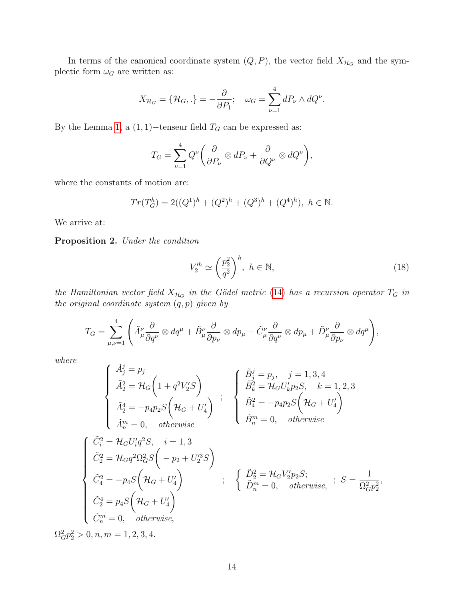In terms of the canonical coordinate system  $(Q, P)$ , the vector field  $X_{\mathcal{H}_G}$  and the symplectic form  $\omega_G$  are written as:

$$
X_{\mathcal{H}_G} = \{ \mathcal{H}_G, . \} = -\frac{\partial}{\partial P_1}; \quad \omega_G = \sum_{\nu=1}^4 dP_\nu \wedge dQ^\nu.
$$

By the Lemma [1,](#page-2-0) a  $(1, 1)$ −tenseur field  $T_G$  can be expressed as:

$$
T_G = \sum_{\nu=1}^4 Q^{\nu} \bigg( \frac{\partial}{\partial P_{\nu}} \otimes dP_{\nu} + \frac{\partial}{\partial Q^{\nu}} \otimes dQ^{\nu} \bigg),
$$

where the constants of motion are:

$$
Tr(T_G^h) = 2((Q^1)^h + (Q^2)^h + (Q^3)^h + (Q^4)^h), \ h \in \mathbb{N}.
$$

We arrive at:

Proposition 2. Under the condition

<span id="page-13-0"></span>
$$
V_2^{\prime h} \simeq \left(\frac{p_2^2}{q^2}\right)^h, \ h \in \mathbb{N},\tag{18}
$$

the Hamiltonian vector field  $X_{\mathcal{H}_G}$  in the Gödel metric [\(14\)](#page-10-1) has a recursion operator  $T_G$  in the original coordinate system  $(q, p)$  given by

$$
T_G = \sum_{\mu,\nu=1}^4 \left( \tilde{A}^{\nu}_{\mu} \frac{\partial}{\partial q^{\nu}} \otimes dq^{\mu} + \tilde{B}^{\nu}_{\mu} \frac{\partial}{\partial p_{\nu}} \otimes dp_{\mu} + \tilde{C}^{\nu}_{\mu} \frac{\partial}{\partial q^{\nu}} \otimes dp_{\mu} + \tilde{D}^{\nu}_{\mu} \frac{\partial}{\partial p_{\nu}} \otimes dq^{\mu} \right),
$$

where

$$
\begin{cases}\n\tilde{A}_{j}^{j} = p_{j} \\
\tilde{A}_{2}^{2} = \mathcal{H}_{G} \left( 1 + q^{2} V_{2}' S \right) \\
\tilde{A}_{2}^{4} = -p_{4} p_{2} S \left( \mathcal{H}_{G} + U_{4}' \right) \\
\tilde{A}_{n}^{m} = 0, \quad otherwise \\
\begin{cases}\n\tilde{C}_{i}^{2} = \mathcal{H}_{G} U_{i}' p_{2} S, & k = 1, 2, 3 \\
\tilde{A}_{n}^{m} = 0, & otherwise\n\end{cases} \\
\tilde{C}_{2}^{2} = \mathcal{H}_{G} U_{i}' q^{2} S, & i = 1, 3 \\
\tilde{C}_{2}^{2} = \mathcal{H}_{G} q^{2} \Omega_{G}^{2} S \left( -p_{2} + U_{2}'^{3} S \right) \\
\tilde{C}_{4}^{2} = -p_{4} S \left( \mathcal{H}_{G} + U_{4}' \right) \\
\tilde{C}_{2}^{4} = p_{4} S \left( \mathcal{H}_{G} + U_{4}' \right) \\
\tilde{C}_{n}^{4} = p_{4} S \left( \mathcal{H}_{G} + U_{4}' \right) \\
\tilde{C}_{n}^{m} = 0, \quad otherwise,\n\end{cases}; \quad \begin{cases}\n\tilde{D}_{2}^{2} = \mathcal{H}_{G} V_{2}' p_{2} S; \\
\tilde{D}_{n}^{m} = 0, & otherwise, \\
\tilde{D}_{n}^{m} = 0, & otherwise,\n\end{cases}; S = \frac{1}{\Omega_{G}^{2} p_{2}^{2}},\n\end{cases}
$$

 $\Omega_G^2 p_2^2 > 0, n, m = 1, 2, 3, 4.$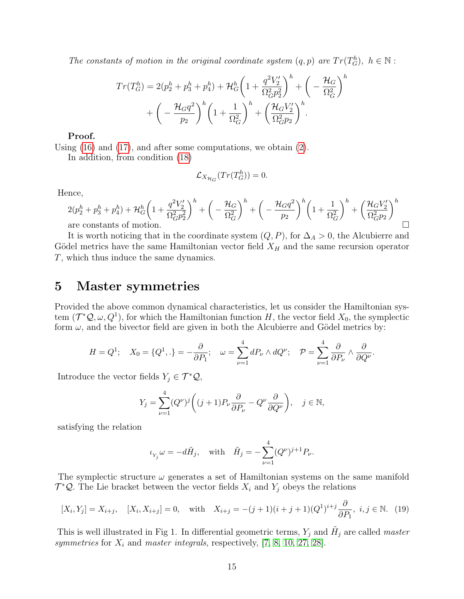The constants of motion in the original coordinate system  $(q, p)$  are  $Tr(T_G^h)$ ,  $h \in \mathbb{N}$ :

$$
Tr(T_G^h) = 2(p_2^h + p_3^h + p_4^h) + \mathcal{H}_G^h \left(1 + \frac{q^2 V_2'}{\Omega_G^2 p_2^2}\right)^h + \left(-\frac{\mathcal{H}_G}{\Omega_G^2}\right)^h + \left(-\frac{\mathcal{H}_G q^2}{p_2}\right)^h \left(1 + \frac{1}{\Omega_G^2}\right)^h + \left(\frac{\mathcal{H}_G V_2'}{\Omega_G^2 p_2}\right)^h.
$$

#### Proof.

Using [\(16\)](#page-12-0) and [\(17\)](#page-12-1), and after some computations, we obtain [\(2\)](#page-13-0).

In addition, from condition [\(18\)](#page-13-0)

$$
\mathcal{L}_{X_{\mathcal{H}_G}}(Tr(T_G^h)) = 0.
$$

Hence,

$$
2(p_2^h + p_3^h + p_4^h) + \mathcal{H}_G^h \left(1 + \frac{q^2 V_2'}{\Omega_G^2 p_2^2}\right)^h + \left(-\frac{\mathcal{H}_G}{\Omega_G^2}\right)^h + \left(-\frac{\mathcal{H}_G q^2}{p_2}\right)^h \left(1 + \frac{1}{\Omega_G^2}\right)^h + \left(\frac{\mathcal{H}_G V_2'}{\Omega_G^2 p_2}\right)^h
$$
 are constants of motion.

It is worth noticing that in the coordinate system  $(Q, P)$ , for  $\Delta_A > 0$ , the Alcubierre and Gödel metrics have the same Hamiltonian vector field  $X_H$  and the same recursion operator T, which thus induce the same dynamics.

### <span id="page-14-0"></span>5 Master symmetries

Provided the above common dynamical characteristics, let us consider the Hamiltonian system  $(\mathcal{T}^*\mathcal{Q}, \omega, Q^1)$ , for which the Hamiltonian function H, the vector field  $X_0$ , the symplectic form  $\omega$ , and the bivector field are given in both the Alcubierre and Gödel metrics by:

$$
H = Q^1; \quad X_0 = \{Q^1, \ldots\} = -\frac{\partial}{\partial P_1}; \quad \omega = \sum_{\nu=1}^4 dP_\nu \wedge dQ^\nu; \quad \mathcal{P} = \sum_{\nu=1}^4 \frac{\partial}{\partial P_\nu} \wedge \frac{\partial}{\partial Q^\nu}.
$$

Introduce the vector fields  $Y_j \in \mathcal{T}^*Q$ ,

$$
Y_j = \sum_{\nu=1}^4 (Q^{\nu})^j \left( (j+1) P_{\nu} \frac{\partial}{\partial P_{\nu}} - Q^{\nu} \frac{\partial}{\partial Q^{\nu}} \right), \quad j \in \mathbb{N},
$$

satisfying the relation

$$
\iota_{Y_j}\omega=-d\tilde{H}_j,\quad\text{with}\quad \tilde{H}_j=-\sum_{\nu=1}^4(Q^\nu)^{j+1}P_\nu.
$$

The symplectic structure  $\omega$  generates a set of Hamiltonian systems on the same manifold  $\mathcal{T}^{\ast}\mathcal{Q}$ . The Lie bracket between the vector fields  $X_i$  and  $Y_j$  obeys the relations

<span id="page-14-1"></span>
$$
[X_i, Y_j] = X_{i+j}, \quad [X_i, X_{i+j}] = 0, \quad \text{with} \quad X_{i+j} = -(j+1)(i+j+1)(Q^1)^{i+j} \frac{\partial}{\partial P_1}, \ i, j \in \mathbb{N}. \tag{19}
$$

This is well illustrated in Fig 1. In differential geometric terms,  $Y_j$  and  $H_j$  are called *master* symmetries for  $X_i$  and master integrals, respectively, [\[7,](#page-18-11) [8,](#page-18-12) [10,](#page-18-9) [27,](#page-19-12) [28\]](#page-19-14).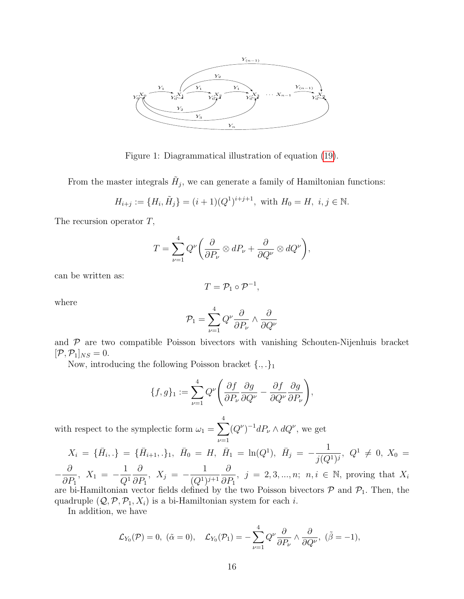

Figure 1: Diagrammatical illustration of equation [\(19\)](#page-14-1).

From the master integrals  $\tilde{H}_j$ , we can generate a family of Hamiltonian functions:

$$
H_{i+j} := \{H_i, \tilde{H}_j\} = (i+1)(Q^1)^{i+j+1}, \text{ with } H_0 = H, \ i, j \in \mathbb{N}.
$$

The recursion operator T,

$$
T = \sum_{\nu=1}^{4} Q^{\nu} \left( \frac{\partial}{\partial P_{\nu}} \otimes dP_{\nu} + \frac{\partial}{\partial Q^{\nu}} \otimes dQ^{\nu} \right),
$$

can be written as:

$$
T=\mathcal{P}_1\circ \mathcal{P}^{-1},
$$

where

$$
\mathcal{P}_1 = \sum_{\nu=1}^4 Q^{\nu} \frac{\partial}{\partial P_{\nu}} \wedge \frac{\partial}{\partial Q^{\nu}}
$$

and  $P$  are two compatible Poisson bivectors with vanishing Schouten-Nijenhuis bracket  $[\mathcal{P}, \mathcal{P}_1]_{NS} = 0.$ 

Now, introducing the following Poisson bracket  $\{.,.\}_1$ 

$$
\{f,g\}_1 := \sum_{\nu=1}^4 Q^{\nu} \left( \frac{\partial f}{\partial P_{\nu}} \frac{\partial g}{\partial Q^{\nu}} - \frac{\partial f}{\partial Q^{\nu}} \frac{\partial g}{\partial P_{\nu}} \right),\,
$$

with respect to the symplectic form  $\omega_1 = \sum$ 4  $\nu = 1$  $(Q^{\nu})^{-1}dP_{\nu} \wedge dQ^{\nu}$ , we get

$$
X_i = \{\bar{H}_{i\cdot},\cdot\} = \{\bar{H}_{i+1},\cdot\}_1, \ \bar{H}_0 = H, \ \bar{H}_1 = \ln(Q^1), \ \bar{H}_j = -\frac{1}{j(Q^1)^j}, \ Q^1 \neq 0, \ X_0 = 0
$$

− ∂  $\frac{\partial}{\partial P_1}$ ,  $X_1 = -$ 1  $Q^1$  $\partial$  $\frac{\partial}{\partial P_1}, X_j = -$ 1  $(Q^{1})^{j+1}$ ∂  $\frac{\partial}{\partial P_1}$ ,  $j = 2, 3, ..., n; n, i \in \mathbb{N}$ , proving that  $X_i$ are bi-Hamiltonian vector fields defined by the two Poisson bivectors  $P$  and  $P_1$ . Then, the quadruple  $(Q, \mathcal{P}, \mathcal{P}_1, X_i)$  is a bi-Hamiltonian system for each *i*.

In addition, we have

$$
\mathcal{L}_{Y_0}(\mathcal{P})=0
$$
,  $(\tilde{\alpha}=0)$ ,  $\mathcal{L}_{Y_0}(\mathcal{P}_1)=-\sum_{\nu=1}^4 Q^{\nu} \frac{\partial}{\partial P_{\nu}} \wedge \frac{\partial}{\partial Q^{\nu}}$ ,  $(\tilde{\beta}=-1)$ ,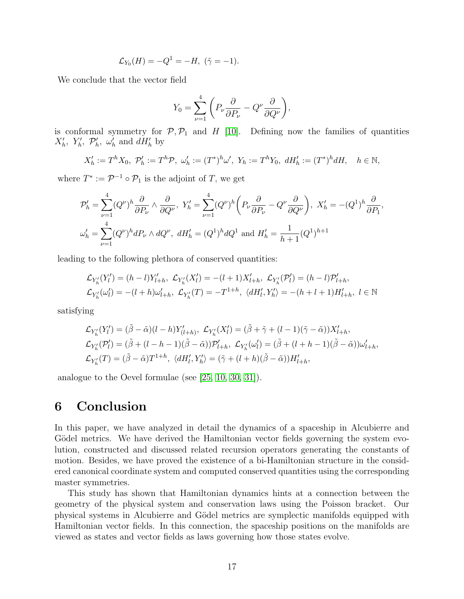$$
\mathcal{L}_{Y_0}(H) = -Q^1 = -H, \; (\tilde{\gamma} = -1).
$$

We conclude that the vector field

$$
Y_0 = \sum_{\nu=1}^4 \left( P_{\nu} \frac{\partial}{\partial P_{\nu}} - Q^{\nu} \frac{\partial}{\partial Q^{\nu}} \right),
$$

is conformal symmetry for  $P, P_1$  and H [\[10\]](#page-18-9). Defining now the families of quantities  $X'_h$ ,  $Y'_h$ ,  $\mathcal{P}'_h$ ,  $\omega'_h$  and  $dH'_h$  by

$$
X'_{h} := T^{h} X_{0}, \ \mathcal{P}'_{h} := T^{h} \mathcal{P}, \ \omega'_{h} := (T^{*})^{h} \omega', \ Y_{h} := T^{h} Y_{0}, \ dH'_{h} := (T^{*})^{h} dH, \quad h \in \mathbb{N},
$$

where  $T^* := \mathcal{P}^{-1} \circ \mathcal{P}_1$  is the adjoint of T, we get

$$
\mathcal{P}'_h = \sum_{\nu=1}^4 (Q^{\nu})^h \frac{\partial}{\partial P_{\nu}} \wedge \frac{\partial}{\partial Q^{\nu}}, \ Y'_h = \sum_{\nu=1}^4 (Q^{\nu})^h \left( P_{\nu} \frac{\partial}{\partial P_{\nu}} - Q^{\nu} \frac{\partial}{\partial Q^{\nu}} \right), \ X'_h = -(Q^1)^h \frac{\partial}{\partial P_1},
$$
  

$$
\omega'_h = \sum_{\nu=1}^4 (Q^{\nu})^h dP_{\nu} \wedge dQ^{\nu}, \ dH'_h = (Q^1)^h dQ^1 \text{ and } H'_h = \frac{1}{h+1} (Q^1)^{h+1}
$$

leading to the following plethora of conserved quantities:

$$
\mathcal{L}_{Y'_{h}}(Y'_{l}) = (h - l)Y'_{l+h}, \ \mathcal{L}_{Y'_{h}}(X'_{l}) = -(l+1)X'_{l+h}, \ \mathcal{L}_{Y'_{h}}(\mathcal{P}'_{l}) = (h - l)\mathcal{P}'_{l+h}, \n\mathcal{L}_{Y'_{h}}(\omega'_{l}) = -(l+h)\omega'_{l+h}, \ \mathcal{L}_{Y'_{h}}(T) = -T^{1+h}, \ \langle dH'_{l}, Y'_{h} \rangle = -(h+l+1)H'_{l+h}, \ l \in \mathbb{N}
$$

satisfying

$$
\mathcal{L}_{Y'_{h}}(Y'_{l}) = (\tilde{\beta} - \tilde{\alpha})(l - h)Y'_{(l+h)}, \ \mathcal{L}_{Y'_{h}}(X'_{l}) = (\tilde{\beta} + \tilde{\gamma} + (l - 1)(\tilde{\gamma} - \tilde{\alpha}))X'_{l+h},
$$
  

$$
\mathcal{L}_{Y'_{h}}(\mathcal{P}'_{l}) = (\tilde{\beta} + (l - h - 1)(\tilde{\beta} - \tilde{\alpha}))\mathcal{P}'_{l+h}, \ \mathcal{L}_{Y'_{h}}(\omega'_{l}) = (\tilde{\beta} + (l + h - 1)(\tilde{\beta} - \tilde{\alpha}))\omega'_{l+h},
$$
  

$$
\mathcal{L}_{Y'_{h}}(T) = (\tilde{\beta} - \tilde{\alpha})T^{1+h}, \ \langle dH'_{l}, Y'_{h} \rangle = (\tilde{\gamma} + (l + h)(\tilde{\beta} - \tilde{\alpha}))H'_{l+h},
$$

analogue to the Oevel formulae (see [\[25,](#page-19-10) [10,](#page-18-9) [30,](#page-19-9) [31\]](#page-19-11)).

## <span id="page-16-0"></span>6 Conclusion

In this paper, we have analyzed in detail the dynamics of a spaceship in Alcubierre and Gödel metrics. We have derived the Hamiltonian vector fields governing the system evolution, constructed and discussed related recursion operators generating the constants of motion. Besides, we have proved the existence of a bi-Hamiltonian structure in the considered canonical coordinate system and computed conserved quantities using the corresponding master symmetries.

This study has shown that Hamiltonian dynamics hints at a connection between the geometry of the physical system and conservation laws using the Poisson bracket. Our physical systems in Alcubierre and Gödel metrics are symplectic manifolds equipped with Hamiltonian vector fields. In this connection, the spaceship positions on the manifolds are viewed as states and vector fields as laws governing how those states evolve.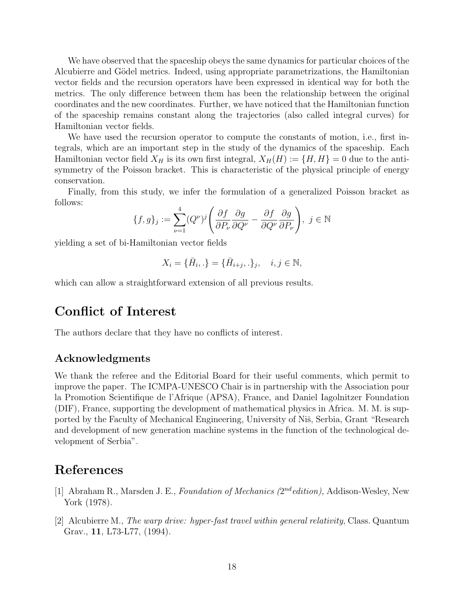We have observed that the spaceship obeys the same dynamics for particular choices of the Alcubierre and Gödel metrics. Indeed, using appropriate parametrizations, the Hamiltonian vector fields and the recursion operators have been expressed in identical way for both the metrics. The only difference between them has been the relationship between the original coordinates and the new coordinates. Further, we have noticed that the Hamiltonian function of the spaceship remains constant along the trajectories (also called integral curves) for Hamiltonian vector fields.

We have used the recursion operator to compute the constants of motion, i.e., first integrals, which are an important step in the study of the dynamics of the spaceship. Each Hamiltonian vector field  $X_H$  is its own first integral,  $X_H(H) := \{H, H\} = 0$  due to the antisymmetry of the Poisson bracket. This is characteristic of the physical principle of energy conservation.

Finally, from this study, we infer the formulation of a generalized Poisson bracket as follows:

$$
\{f,g\}_j := \sum_{\nu=1}^4 (Q^{\nu})^j \left( \frac{\partial f}{\partial P_{\nu}} \frac{\partial g}{\partial Q^{\nu}} - \frac{\partial f}{\partial Q^{\nu}} \frac{\partial g}{\partial P_{\nu}} \right), \ j \in \mathbb{N}
$$

yielding a set of bi-Hamiltonian vector fields

$$
X_i = \{\bar{H}_i,.\} = \{\bar{H}_{i+j},.\}_j, \quad i,j \in \mathbb{N},
$$

which can allow a straightforward extension of all previous results.

## Conflict of Interest

The authors declare that they have no conflicts of interest.

#### Acknowledgments

We thank the referee and the Editorial Board for their useful comments, which permit to improve the paper. The ICMPA-UNESCO Chair is in partnership with the Association pour la Promotion Scientifique de l'Afrique (APSA), France, and Daniel Iagolnitzer Foundation (DIF), France, supporting the development of mathematical physics in Africa. M. M. is supported by the Faculty of Mechanical Engineering, University of Niš, Serbia, Grant "Research" and development of new generation machine systems in the function of the technological development of Serbia".

## References

- <span id="page-17-1"></span>[1] Abraham R., Marsden J. E., Foundation of Mechanics  $(2^{nd}$ edition), Addison-Wesley, New York (1978).
- <span id="page-17-0"></span>[2] Alcubierre M., The warp drive: hyper-fast travel within general relativity, Class. Quantum Grav., 11, L73-L77, (1994).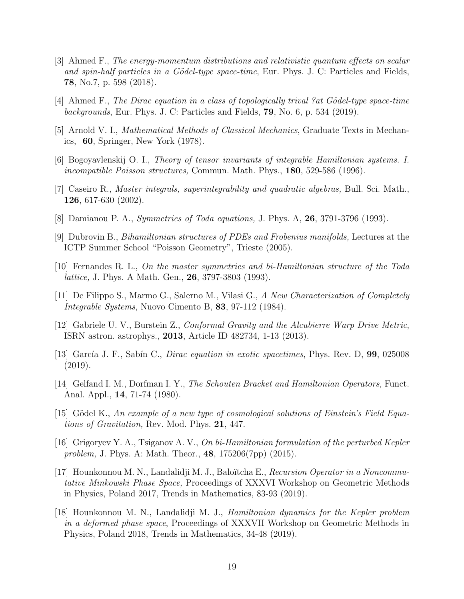- <span id="page-18-2"></span>[3] Ahmed F., The energy-momentum distributions and relativistic quantum effects on scalar and spin-half particles in a Gödel-type space-time, Eur. Phys. J. C: Particles and Fields, 78, No.7, p. 598 (2018).
- <span id="page-18-3"></span>[4] Ahmed F., The Dirac equation in a class of topologically trival ?at Gödel-type space-time backgrounds, Eur. Phys. J. C: Particles and Fields,  $79$ , No. 6, p. 534 (2019).
- <span id="page-18-13"></span>[5] Arnold V. I., Mathematical Methods of Classical Mechanics, Graduate Texts in Mechanics, 60, Springer, New York (1978).
- [6] Bogoyavlenskij O. I., Theory of tensor invariants of integrable Hamiltonian systems. I. incompatible Poisson structures, Commun. Math. Phys., 180, 529-586 (1996).
- <span id="page-18-11"></span>[7] Caseiro R., Master integrals, superintegrability and quadratic algebras, Bull. Sci. Math., 126, 617-630 (2002).
- <span id="page-18-12"></span>[8] Damianou P. A., Symmetries of Toda equations, J. Phys. A, 26, 3791-3796 (1993).
- <span id="page-18-10"></span>[9] Dubrovin B., Bihamiltonian structures of PDEs and Frobenius manifolds, Lectures at the ICTP Summer School "Poisson Geometry", Trieste (2005).
- <span id="page-18-9"></span>[10] Fernandes R. L., On the master symmetries and bi-Hamiltonian structure of the Toda *lattice*, J. Phys. A Math. Gen., **26**, 3797-3803 (1993).
- <span id="page-18-5"></span>[11] De Filippo S., Marmo G., Salerno M., Vilasi G., A New Characterization of Completely Integrable Systems, Nuovo Cimento B, 83, 97-112 (1984).
- <span id="page-18-4"></span>[12] Gabriele U. V., Burstein Z., Conformal Gravity and the Alcubierre Warp Drive Metric, ISRN astron. astrophys., 2013, Article ID 482734, 1-13 (2013).
- <span id="page-18-1"></span>[13] García J. F., Sabín C., *Dirac equation in exotic spacetimes*, Phys. Rev. D,  $99$ , 025008 (2019).
- <span id="page-18-6"></span>[14] Gelfand I. M., Dorfman I. Y., The Schouten Bracket and Hamiltonian Operators, Funct. Anal. Appl., 14, 71-74 (1980).
- <span id="page-18-0"></span>[15] Gödel K., An example of a new type of cosmological solutions of Einstein's Field Equations of Gravitation, Rev. Mod. Phys. 21, 447.
- [16] Grigoryev Y. A., Tsiganov A. V., On bi-Hamiltonian formulation of the perturbed Kepler problem, J. Phys. A: Math. Theor., 48, 175206(7pp) (2015).
- <span id="page-18-7"></span>[17] Hounkonnou M. N., Landalidji M. J., Baloïtcha E., *Recursion Operator in a Noncommu*tative Minkowski Phase Space, Proceedings of XXXVI Workshop on Geometric Methods in Physics, Poland 2017, Trends in Mathematics, 83-93 (2019).
- <span id="page-18-8"></span>[18] Hounkonnou M. N., Landalidji M. J., Hamiltonian dynamics for the Kepler problem in a deformed phase space, Proceedings of XXXVII Workshop on Geometric Methods in Physics, Poland 2018, Trends in Mathematics, 34-48 (2019).